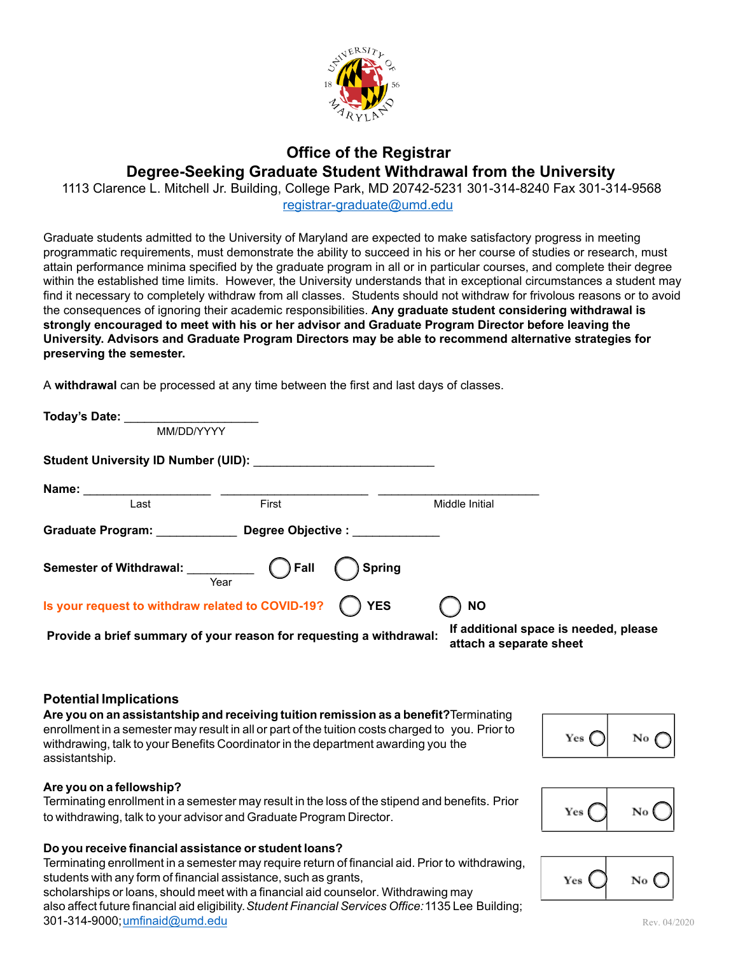

## Office of the Registrar Degree-Seeking Graduate Student Withdrawal from the University

 1113 Clarence L. Mitchell Jr. Building, College Park, MD 20742-5231 301-314-8240 Fax 301-314-9568 [registrar-graduate@umd.edu](mailto:registrar-graduate@umd.edu)

Graduate students admitted to the University of Maryland are expected to make satisfactory progress in meeting programmatic requirements, must demonstrate the ability to succeed in his or her course of studies or research, must attain performance minima specified by the graduate program in all or in particular courses, and complete their degree within the established time limits. However, the University understands that in exceptional circumstances a student may find it necessary to completely withdraw from all classes. Students should not withdraw for frivolous reasons or to avoid the consequences of ignoring their academic responsibilities. Any graduate student considering withdrawal is strongly encouraged to meet with his or her advisor and Graduate Program Director before leaving the University. Advisors and Graduate Program Directors may be able to recommend alternative strategies for preserving the semester.

A withdrawal can be processed at any time between the first and last days of classes.

| Today's Date: the control of the control of the control of the control of the control of the control of the control of the control of the control of the control of the control of the control of the control of the control o |        |                                                                  |
|--------------------------------------------------------------------------------------------------------------------------------------------------------------------------------------------------------------------------------|--------|------------------------------------------------------------------|
| MM/DD/YYYY                                                                                                                                                                                                                     |        |                                                                  |
| <b>Student University ID Number (UID):</b> Student University ID Number (UID):                                                                                                                                                 |        |                                                                  |
|                                                                                                                                                                                                                                |        |                                                                  |
| Last                                                                                                                                                                                                                           | First  | Middle Initial                                                   |
| Graduate Program: Degree Objective :                                                                                                                                                                                           |        |                                                                  |
| Year                                                                                                                                                                                                                           | Spring |                                                                  |
| Is your request to withdraw related to COVID-19? ( ) YES                                                                                                                                                                       |        | <b>NO</b>                                                        |
| Provide a brief summary of your reason for requesting a withdrawal:                                                                                                                                                            |        | If additional space is needed, please<br>attach a separate sheet |

### Potential Implications

Are you on an assistantship and receiving tuition remission as a benefit?Terminating enrollment in a semester may result in all or part of the tuition costs charged to you. Prior to withdrawing, talk to your Benefits Coordinator in the department awarding you the assistantship.



## Are you on a fellowship?

Terminating enrollment in a semester may result in the loss of the stipend and benefits. Prior to withdrawing, talk to your advisor and Graduate Program Director.

#### Do you receive financial assistance or student loans?

Terminating enrollment in a semester may require return of financial aid. Prior to withdrawing, students with any form of financial assistance, such as grants, scholarships or loans, should meet with a financial aid counselor. Withdrawing may

also affect future financial aid eligibility. Student Financial Services Office: 1135 Lee Building; 301-314-9000; [umfinaid@umd.edu](mailto:umfinaid@umd.edu)